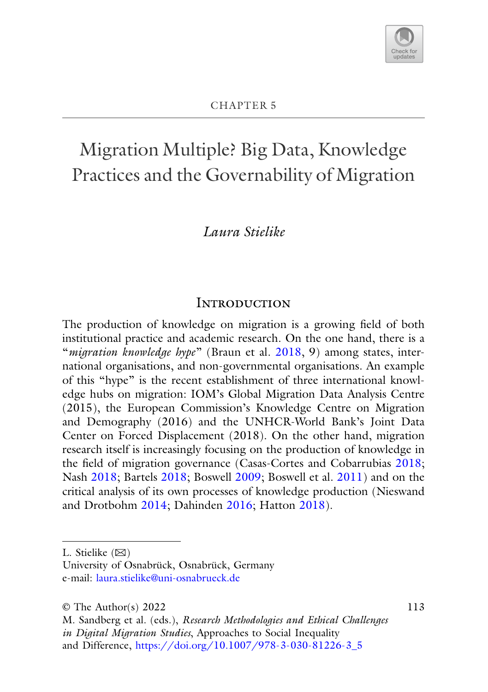

# Migration Multiple? Big Data, Knowledge Practices and the Governability of Migration

## *Laura Stielike*

#### **INTRODUCTION**

The production of knowledge on migration is a growing field of both institutional practice and academic research. On the one hand, there is a "*migration knowledge hype*" (Braun et al. [2018,](#page-19-0) 9) among states, international organisations, and non-governmental organisations. An example of this "hype" is the recent establishment of three international knowledge hubs on migration: IOM's Global Migration Data Analysis Centre (2015), the European Commission's Knowledge Centre on Migration and Demography (2016) and the UNHCR-World Bank's Joint Data Center on Forced Displacement (2018). On the other hand, migration research itself is increasingly focusing on the production of knowledge in the field of migration governance (Casas-Cortes and Cobarrubias [2018;](#page-19-1) Nash [2018;](#page-21-0) Bartels [2018;](#page-18-0) Boswell [2009;](#page-19-2) Boswell et al. [2011\)](#page-19-3) and on the critical analysis of its own processes of knowledge production (Nieswand and Drotbohm [2014;](#page-21-1) Dahinden [2016;](#page-19-4) Hatton [2018\)](#page-20-0).

113

L. Stielike  $(\boxtimes)$ 

University of Osnabrück, Osnabrück, Germany e-mail: [laura.stielike@uni-osnabrueck.de](mailto:laura.stielike@uni-osnabrueck.de)

<sup>©</sup> The Author(s) 2022

M. Sandberg et al. (eds.), *Research Methodologies and Ethical Challenges in Digital Migration Studies*, Approaches to Social Inequality and Difference, [https://doi.org/10.1007/978-3-030-81226-3\\_5](https://doi.org/10.1007/978-3-030-81226-3_5)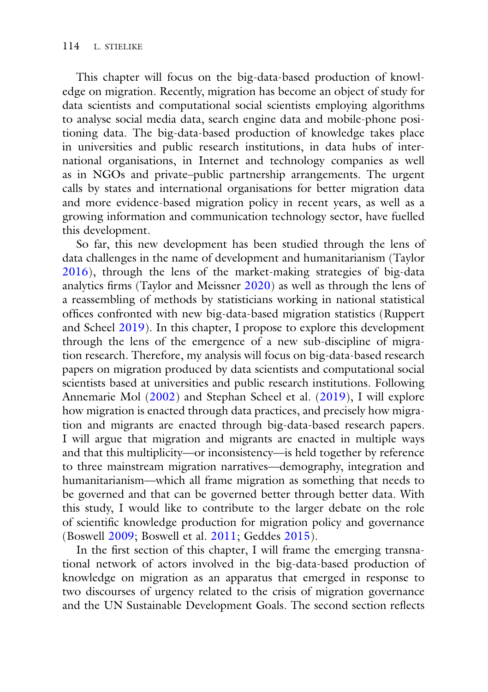This chapter will focus on the big-data-based production of knowledge on migration. Recently, migration has become an object of study for data scientists and computational social scientists employing algorithms to analyse social media data, search engine data and mobile-phone positioning data. The big-data-based production of knowledge takes place in universities and public research institutions, in data hubs of international organisations, in Internet and technology companies as well as in NGOs and private–public partnership arrangements. The urgent calls by states and international organisations for better migration data and more evidence-based migration policy in recent years, as well as a growing information and communication technology sector, have fuelled this development.

So far, this new development has been studied through the lens of data challenges in the name of development and humanitarianism (Taylor [2016\)](#page-23-0), through the lens of the market-making strategies of big-data analytics firms (Taylor and Meissner [2020\)](#page-23-1) as well as through the lens of a reassembling of methods by statisticians working in national statistical offices confronted with new big-data-based migration statistics (Ruppert and Scheel [2019\)](#page-22-0). In this chapter, I propose to explore this development through the lens of the emergence of a new sub-discipline of migration research. Therefore, my analysis will focus on big-data-based research papers on migration produced by data scientists and computational social scientists based at universities and public research institutions. Following Annemarie Mol [\(2002\)](#page-21-2) and Stephan Scheel et al. [\(2019\)](#page-22-1), I will explore how migration is enacted through data practices, and precisely how migration and migrants are enacted through big-data-based research papers. I will argue that migration and migrants are enacted in multiple ways and that this multiplicity—or inconsistency—is held together by reference to three mainstream migration narratives—demography, integration and humanitarianism—which all frame migration as something that needs to be governed and that can be governed better through better data. With this study, I would like to contribute to the larger debate on the role of scientific knowledge production for migration policy and governance (Boswell [2009;](#page-19-2) Boswell et al. [2011;](#page-19-3) Geddes [2015\)](#page-20-1).

In the first section of this chapter, I will frame the emerging transnational network of actors involved in the big-data-based production of knowledge on migration as an apparatus that emerged in response to two discourses of urgency related to the crisis of migration governance and the UN Sustainable Development Goals. The second section reflects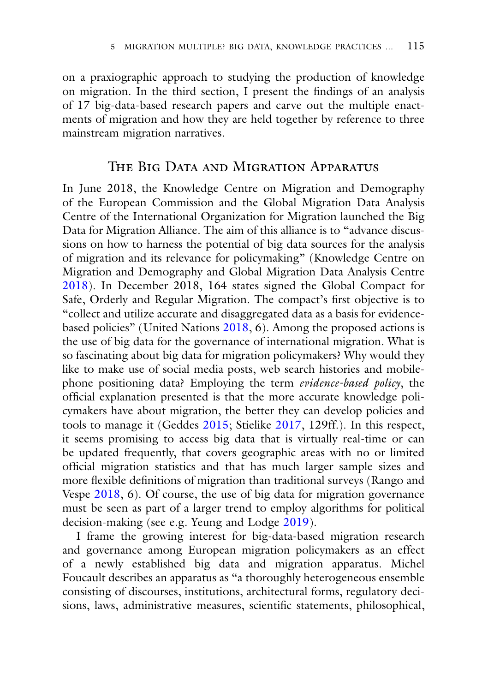on a praxiographic approach to studying the production of knowledge on migration. In the third section, I present the findings of an analysis of 17 big-data-based research papers and carve out the multiple enactments of migration and how they are held together by reference to three mainstream migration narratives.

#### The Big Data and Migration Apparatus

In June 2018, the Knowledge Centre on Migration and Demography of the European Commission and the Global Migration Data Analysis Centre of the International Organization for Migration launched the Big Data for Migration Alliance. The aim of this alliance is to "advance discussions on how to harness the potential of big data sources for the analysis of migration and its relevance for policymaking" (Knowledge Centre on Migration and Demography and Global Migration Data Analysis Centre [2018\)](#page-21-3). In December 2018, 164 states signed the Global Compact for Safe, Orderly and Regular Migration. The compact's first objective is to "collect and utilize accurate and disaggregated data as a basis for evidencebased policies" (United Nations [2018,](#page-24-0) 6). Among the proposed actions is the use of big data for the governance of international migration. What is so fascinating about big data for migration policymakers? Why would they like to make use of social media posts, web search histories and mobilephone positioning data? Employing the term *evidence-based policy*, the official explanation presented is that the more accurate knowledge policymakers have about migration, the better they can develop policies and tools to manage it (Geddes [2015;](#page-20-1) Stielike [2017,](#page-23-2) 129ff.). In this respect, it seems promising to access big data that is virtually real-time or can be updated frequently, that covers geographic areas with no or limited official migration statistics and that has much larger sample sizes and more flexible definitions of migration than traditional surveys (Rango and Vespe [2018,](#page-22-2) 6). Of course, the use of big data for migration governance must be seen as part of a larger trend to employ algorithms for political decision-making (see e.g. Yeung and Lodge [2019\)](#page-24-1).

I frame the growing interest for big-data-based migration research and governance among European migration policymakers as an effect of a newly established big data and migration apparatus. Michel Foucault describes an apparatus as "a thoroughly heterogeneous ensemble consisting of discourses, institutions, architectural forms, regulatory decisions, laws, administrative measures, scientific statements, philosophical,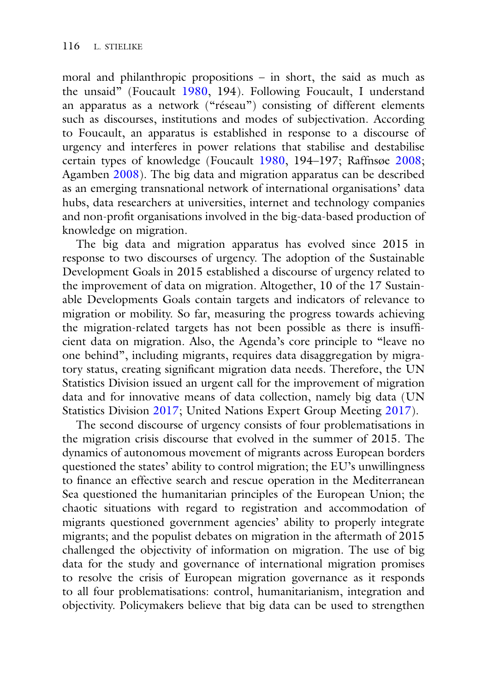moral and philanthropic propositions – in short, the said as much as the unsaid" (Foucault [1980,](#page-20-2) 194). Following Foucault, I understand an apparatus as a network ("réseau") consisting of different elements such as discourses, institutions and modes of subjectivation. According to Foucault, an apparatus is established in response to a discourse of urgency and interferes in power relations that stabilise and destabilise certain types of knowledge (Foucault [1980,](#page-20-2) 194–197; Raffnsøe [2008;](#page-22-3) Agamben [2008\)](#page-18-1). The big data and migration apparatus can be described as an emerging transnational network of international organisations' data hubs, data researchers at universities, internet and technology companies and non-profit organisations involved in the big-data-based production of knowledge on migration.

The big data and migration apparatus has evolved since 2015 in response to two discourses of urgency. The adoption of the Sustainable Development Goals in 2015 established a discourse of urgency related to the improvement of data on migration. Altogether, 10 of the 17 Sustainable Developments Goals contain targets and indicators of relevance to migration or mobility. So far, measuring the progress towards achieving the migration-related targets has not been possible as there is insufficient data on migration. Also, the Agenda's core principle to "leave no one behind", including migrants, requires data disaggregation by migratory status, creating significant migration data needs. Therefore, the UN Statistics Division issued an urgent call for the improvement of migration data and for innovative means of data collection, namely big data (UN Statistics Division [2017;](#page-24-2) United Nations Expert Group Meeting [2017\)](#page-24-3).

The second discourse of urgency consists of four problematisations in the migration crisis discourse that evolved in the summer of 2015. The dynamics of autonomous movement of migrants across European borders questioned the states' ability to control migration; the EU's unwillingness to finance an effective search and rescue operation in the Mediterranean Sea questioned the humanitarian principles of the European Union; the chaotic situations with regard to registration and accommodation of migrants questioned government agencies' ability to properly integrate migrants; and the populist debates on migration in the aftermath of 2015 challenged the objectivity of information on migration. The use of big data for the study and governance of international migration promises to resolve the crisis of European migration governance as it responds to all four problematisations: control, humanitarianism, integration and objectivity. Policymakers believe that big data can be used to strengthen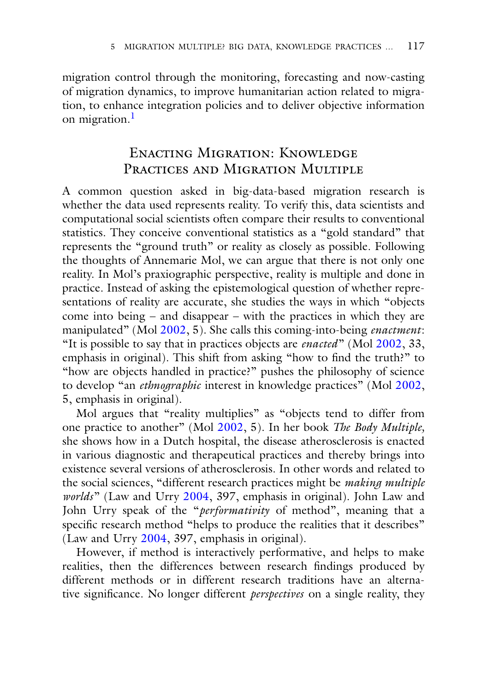migration control through the monitoring, forecasting and now-casting of migration dynamics, to improve humanitarian action related to migration, to enhance integration policies and to deliver objective information on migration.<sup>[1](#page-17-0)</sup>

## Enacting Migration: Knowledge PRACTICES AND MIGRATION MULTIPLE

A common question asked in big-data-based migration research is whether the data used represents reality. To verify this, data scientists and computational social scientists often compare their results to conventional statistics. They conceive conventional statistics as a "gold standard" that represents the "ground truth" or reality as closely as possible. Following the thoughts of Annemarie Mol, we can argue that there is not only one reality. In Mol's praxiographic perspective, reality is multiple and done in practice. Instead of asking the epistemological question of whether representations of reality are accurate, she studies the ways in which "objects come into being – and disappear – with the practices in which they are manipulated" (Mol [2002,](#page-21-2) 5). She calls this coming-into-being *enactment*: "It is possible to say that in practices objects are *enacted*" (Mol [2002,](#page-21-2) 33, emphasis in original). This shift from asking "how to find the truth?" to "how are objects handled in practice?" pushes the philosophy of science to develop "an *ethnographic* interest in knowledge practices" (Mol [2002,](#page-21-2) 5, emphasis in original).

Mol argues that "reality multiplies" as "objects tend to differ from one practice to another" (Mol [2002,](#page-21-2) 5). In her book *The Body Multiple,* she shows how in a Dutch hospital, the disease atherosclerosis is enacted in various diagnostic and therapeutical practices and thereby brings into existence several versions of atherosclerosis. In other words and related to the social sciences, "different research practices might be *making multiple worlds*" (Law and Urry [2004,](#page-21-4) 397, emphasis in original). John Law and John Urry speak of the "*performativity* of method", meaning that a specific research method "helps to produce the realities that it describes" (Law and Urry [2004,](#page-21-4) 397, emphasis in original).

However, if method is interactively performative, and helps to make realities, then the differences between research findings produced by different methods or in different research traditions have an alternative significance. No longer different *perspectives* on a single reality, they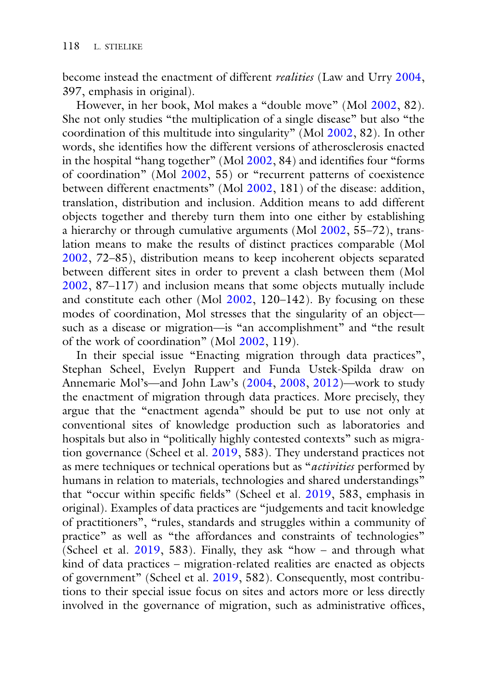become instead the enactment of different *realities* (Law and Urry [2004,](#page-21-4) 397, emphasis in original).

However, in her book, Mol makes a "double move" (Mol [2002,](#page-21-2) 82). She not only studies "the multiplication of a single disease" but also "the coordination of this multitude into singularity" (Mol [2002,](#page-21-2) 82). In other words, she identifies how the different versions of atherosclerosis enacted in the hospital "hang together" (Mol [2002,](#page-21-2) 84) and identifies four "forms of coordination" (Mol [2002,](#page-21-2) 55) or "recurrent patterns of coexistence between different enactments" (Mol [2002,](#page-21-2) 181) of the disease: addition, translation, distribution and inclusion. Addition means to add different objects together and thereby turn them into one either by establishing a hierarchy or through cumulative arguments (Mol [2002,](#page-21-2) 55–72), translation means to make the results of distinct practices comparable (Mol [2002,](#page-21-2) 72–85), distribution means to keep incoherent objects separated between different sites in order to prevent a clash between them (Mol [2002,](#page-21-2) 87–117) and inclusion means that some objects mutually include and constitute each other (Mol [2002,](#page-21-2) 120–142). By focusing on these modes of coordination, Mol stresses that the singularity of an object such as a disease or migration—is "an accomplishment" and "the result of the work of coordination" (Mol [2002,](#page-21-2) 119).

In their special issue "Enacting migration through data practices", Stephan Scheel, Evelyn Ruppert and Funda Ustek-Spilda draw on Annemarie Mol's—and John Law's [\(2004,](#page-21-5) [2008,](#page-21-6) [2012\)](#page-21-7)—work to study the enactment of migration through data practices. More precisely, they argue that the "enactment agenda" should be put to use not only at conventional sites of knowledge production such as laboratories and hospitals but also in "politically highly contested contexts" such as migration governance (Scheel et al. [2019,](#page-22-4) 583). They understand practices not as mere techniques or technical operations but as "*activities* performed by humans in relation to materials, technologies and shared understandings" that "occur within specific fields" (Scheel et al. [2019,](#page-22-4) 583, emphasis in original). Examples of data practices are "judgements and tacit knowledge of practitioners", "rules, standards and struggles within a community of practice" as well as "the affordances and constraints of technologies" (Scheel et al. [2019,](#page-22-4) 583). Finally, they ask "how – and through what kind of data practices – migration-related realities are enacted as objects of government" (Scheel et al. [2019,](#page-22-4) 582). Consequently, most contributions to their special issue focus on sites and actors more or less directly involved in the governance of migration, such as administrative offices,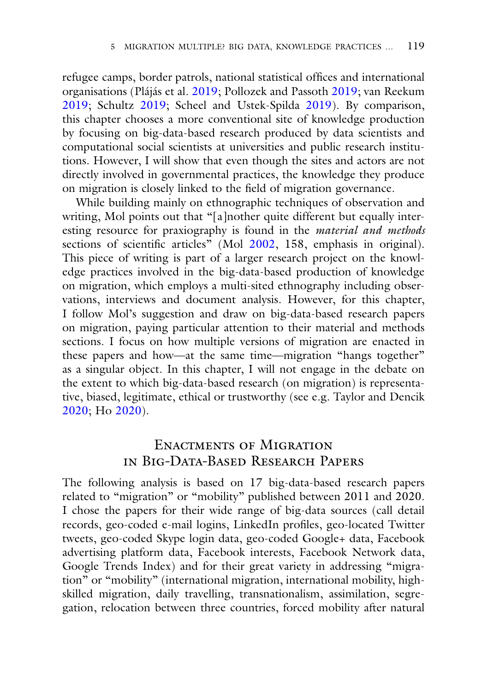refugee camps, border patrols, national statistical offices and international organisations (Plájás et al. [2019;](#page-22-5) Pollozek and Passoth [2019;](#page-22-6) van Reekum [2019;](#page-22-7) Schultz [2019;](#page-22-8) Scheel and Ustek-Spilda [2019\)](#page-22-1). By comparison, this chapter chooses a more conventional site of knowledge production by focusing on big-data-based research produced by data scientists and computational social scientists at universities and public research institutions. However, I will show that even though the sites and actors are not directly involved in governmental practices, the knowledge they produce on migration is closely linked to the field of migration governance.

While building mainly on ethnographic techniques of observation and writing, Mol points out that "[a]nother quite different but equally interesting resource for praxiography is found in the *material and methods* sections of scientific articles" (Mol [2002,](#page-21-2) 158, emphasis in original). This piece of writing is part of a larger research project on the knowledge practices involved in the big-data-based production of knowledge on migration, which employs a multi-sited ethnography including observations, interviews and document analysis. However, for this chapter, I follow Mol's suggestion and draw on big-data-based research papers on migration, paying particular attention to their material and methods sections. I focus on how multiple versions of migration are enacted in these papers and how—at the same time—migration "hangs together" as a singular object. In this chapter, I will not engage in the debate on the extent to which big-data-based research (on migration) is representative, biased, legitimate, ethical or trustworthy (see e.g. Taylor and Dencik [2020;](#page-23-3) Ho [2020\)](#page-20-3).

## Enactments of Migration in Big-Data-Based Research Papers

The following analysis is based on 17 big-data-based research papers related to "migration" or "mobility" published between 2011 and 2020. I chose the papers for their wide range of big-data sources (call detail records, geo-coded e-mail logins, LinkedIn profiles, geo-located Twitter tweets, geo-coded Skype login data, geo-coded Google+ data, Facebook advertising platform data, Facebook interests, Facebook Network data, Google Trends Index) and for their great variety in addressing "migration" or "mobility" (international migration, international mobility, highskilled migration, daily travelling, transnationalism, assimilation, segregation, relocation between three countries, forced mobility after natural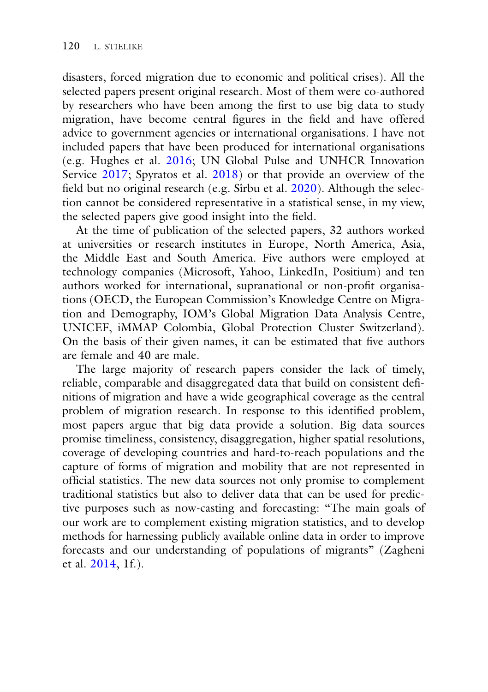disasters, forced migration due to economic and political crises). All the selected papers present original research. Most of them were co-authored by researchers who have been among the first to use big data to study migration, have become central figures in the field and have offered advice to government agencies or international organisations. I have not included papers that have been produced for international organisations (e.g. Hughes et al. [2016;](#page-20-4) UN Global Pulse and UNHCR Innovation Service [2017;](#page-24-4) Spyratos et al. [2018\)](#page-23-4) or that provide an overview of the field but no original research (e.g. Sîrbu et al. [2020\)](#page-23-5). Although the selection cannot be considered representative in a statistical sense, in my view, the selected papers give good insight into the field.

At the time of publication of the selected papers, 32 authors worked at universities or research institutes in Europe, North America, Asia, the Middle East and South America. Five authors were employed at technology companies (Microsoft, Yahoo, LinkedIn, Positium) and ten authors worked for international, supranational or non-profit organisations (OECD, the European Commission's Knowledge Centre on Migration and Demography, IOM's Global Migration Data Analysis Centre, UNICEF, iMMAP Colombia, Global Protection Cluster Switzerland). On the basis of their given names, it can be estimated that five authors are female and 40 are male.

The large majority of research papers consider the lack of timely, reliable, comparable and disaggregated data that build on consistent definitions of migration and have a wide geographical coverage as the central problem of migration research. In response to this identified problem, most papers argue that big data provide a solution. Big data sources promise timeliness, consistency, disaggregation, higher spatial resolutions, coverage of developing countries and hard-to-reach populations and the capture of forms of migration and mobility that are not represented in official statistics. The new data sources not only promise to complement traditional statistics but also to deliver data that can be used for predictive purposes such as now-casting and forecasting: "The main goals of our work are to complement existing migration statistics, and to develop methods for harnessing publicly available online data in order to improve forecasts and our understanding of populations of migrants" (Zagheni et al. [2014,](#page-24-5) 1f.).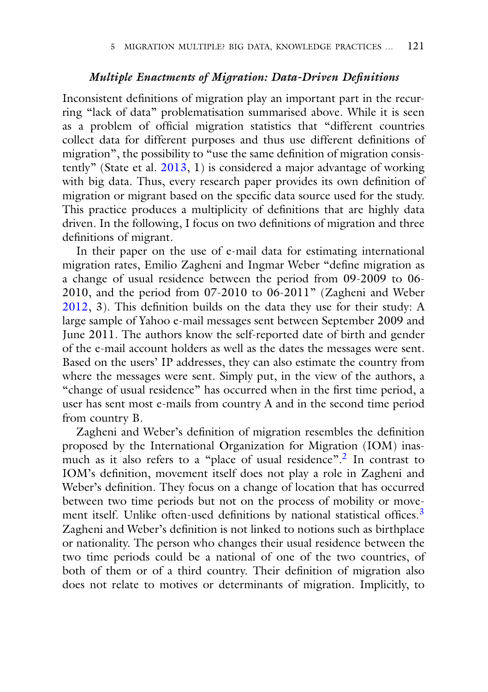### *Multiple Enactments of Migration: Data-Driven Definitions*

Inconsistent definitions of migration play an important part in the recurring "lack of data" problematisation summarised above. While it is seen as a problem of official migration statistics that "different countries collect data for different purposes and thus use different definitions of migration", the possibility to "use the same definition of migration consistently" (State et al. [2013,](#page-23-6) 1) is considered a major advantage of working with big data. Thus, every research paper provides its own definition of migration or migrant based on the specific data source used for the study. This practice produces a multiplicity of definitions that are highly data driven. In the following, I focus on two definitions of migration and three definitions of migrant.

In their paper on the use of e-mail data for estimating international migration rates, Emilio Zagheni and Ingmar Weber "define migration as a change of usual residence between the period from 09-2009 to 06- 2010, and the period from 07-2010 to  $0\overline{6}$ -2011" (Zagheni and Weber [2012,](#page-24-6) 3). This definition builds on the data they use for their study: A large sample of Yahoo e-mail messages sent between September 2009 and June 2011. The authors know the self-reported date of birth and gender of the e-mail account holders as well as the dates the messages were sent. Based on the users' IP addresses, they can also estimate the country from where the messages were sent. Simply put, in the view of the authors, a "change of usual residence" has occurred when in the first time period, a user has sent most e-mails from country A and in the second time period from country B.

Zagheni and Weber's definition of migration resembles the definition proposed by the International Organization for Migration (IOM) inasmuch as it also refers to a "place of usual residence"[.2](#page-17-0) In contrast to IOM's definition, movement itself does not play a role in Zagheni and Weber's definition. They focus on a change of location that has occurred between two time periods but not on the process of mobility or move-ment itself. Unlike often-used definitions by national statistical offices.<sup>[3](#page-17-0)</sup> Zagheni and Weber's definition is not linked to notions such as birthplace or nationality. The person who changes their usual residence between the two time periods could be a national of one of the two countries, of both of them or of a third country. Their definition of migration also does not relate to motives or determinants of migration. Implicitly, to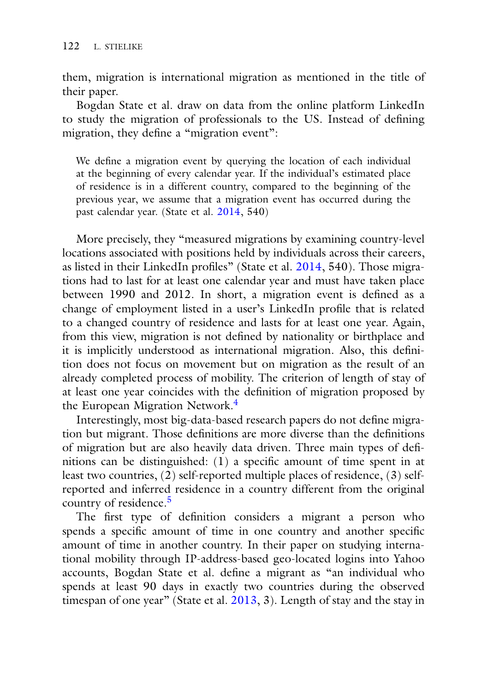them, migration is international migration as mentioned in the title of their paper.

Bogdan State et al. draw on data from the online platform LinkedIn to study the migration of professionals to the US. Instead of defining migration, they define a "migration event":

We define a migration event by querying the location of each individual at the beginning of every calendar year. If the individual's estimated place of residence is in a different country, compared to the beginning of the previous year, we assume that a migration event has occurred during the past calendar year. (State et al. [2014,](#page-23-7) 540)

More precisely, they "measured migrations by examining country-level locations associated with positions held by individuals across their careers, as listed in their LinkedIn profiles" (State et al. [2014,](#page-23-7) 540). Those migrations had to last for at least one calendar year and must have taken place between 1990 and 2012. In short, a migration event is defined as a change of employment listed in a user's LinkedIn profile that is related to a changed country of residence and lasts for at least one year. Again, from this view, migration is not defined by nationality or birthplace and it is implicitly understood as international migration. Also, this definition does not focus on movement but on migration as the result of an already completed process of mobility. The criterion of length of stay of at least one year coincides with the definition of migration proposed by the European Migration Network.<sup>[4](#page-17-0)</sup>

Interestingly, most big-data-based research papers do not define migration but migrant. Those definitions are more diverse than the definitions of migration but are also heavily data driven. Three main types of definitions can be distinguished: (1) a specific amount of time spent in at least two countries, (2) self-reported multiple places of residence, (3) selfreported and inferred residence in a country different from the original country of residence.[5](#page-17-0)

The first type of definition considers a migrant a person who spends a specific amount of time in one country and another specific amount of time in another country. In their paper on studying international mobility through IP-address-based geo-located logins into Yahoo accounts, Bogdan State et al. define a migrant as "an individual who spends at least 90 days in exactly two countries during the observed timespan of one year" (State et al.  $\frac{2013}{3}$ , 2). Length of stay and the stay in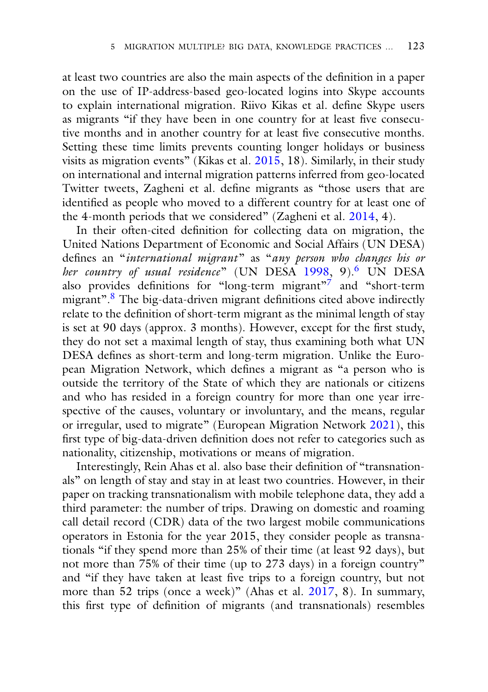at least two countries are also the main aspects of the definition in a paper on the use of IP-address-based geo-located logins into Skype accounts to explain international migration. Riivo Kikas et al. define Skype users as migrants "if they have been in one country for at least five consecutive months and in another country for at least five consecutive months. Setting these time limits prevents counting longer holidays or business visits as migration events" (Kikas et al.  $2015$ , 18). Similarly, in their study on international and internal migration patterns inferred from geo-located Twitter tweets, Zagheni et al. define migrants as "those users that are identified as people who moved to a different country for at least one of the 4-month periods that we considered" (Zagheni et al. [2014,](#page-24-5) 4).

In their often-cited definition for collecting data on migration, the United Nations Department of Economic and Social Affairs (UN DESA) defines an "*international migrant*" as "*any person who changes his or her country of usual residence*" (UN DESA [1998,](#page-23-8) 9)[.6](#page-17-0) UN DESA also provides definitions for "long-term migrant"<sup>7</sup> and "short-term migrant".[8](#page-17-0) The big-data-driven migrant definitions cited above indirectly relate to the definition of short-term migrant as the minimal length of stay is set at 90 days (approx. 3 months). However, except for the first study, they do not set a maximal length of stay, thus examining both what UN DESA defines as short-term and long-term migration. Unlike the European Migration Network, which defines a migrant as "a person who is outside the territory of the State of which they are nationals or citizens and who has resided in a foreign country for more than one year irrespective of the causes, voluntary or involuntary, and the means, regular or irregular, used to migrate" (European Migration Network [2021\)](#page-20-6), this first type of big-data-driven definition does not refer to categories such as nationality, citizenship, motivations or means of migration.

Interestingly, Rein Ahas et al. also base their definition of "transnationals" on length of stay and stay in at least two countries. However, in their paper on tracking transnationalism with mobile telephone data, they add a third parameter: the number of trips. Drawing on domestic and roaming call detail record (CDR) data of the two largest mobile communications operators in Estonia for the year 2015, they consider people as transnationals "if they spend more than 25% of their time (at least 92 days), but not more than 75% of their time (up to 273 days) in a foreign country" and "if they have taken at least five trips to a foreign country, but not more than 52 trips (once a week)" (Ahas et al. [2017,](#page-18-2) 8). In summary, this first type of definition of migrants (and transnationals) resembles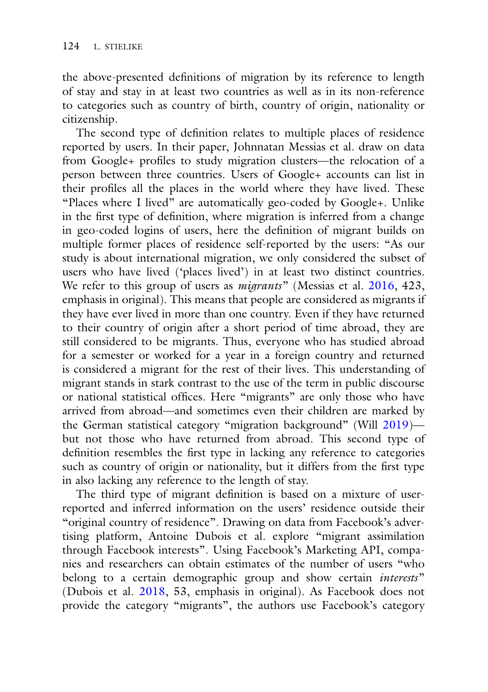the above-presented definitions of migration by its reference to length of stay and stay in at least two countries as well as in its non-reference to categories such as country of birth, country of origin, nationality or citizenship.

The second type of definition relates to multiple places of residence reported by users. In their paper, Johnnatan Messias et al. draw on data from Google+ profiles to study migration clusters—the relocation of a person between three countries. Users of Google+ accounts can list in their profiles all the places in the world where they have lived. These "Places where I lived" are automatically geo-coded by Google+. Unlike in the first type of definition, where migration is inferred from a change in geo-coded logins of users, here the definition of migrant builds on multiple former places of residence self-reported by the users: "As our study is about international migration, we only considered the subset of users who have lived ('places lived') in at least two distinct countries. We refer to this group of users as *migrants*" (Messias et al. [2016,](#page-21-8) 423, emphasis in original). This means that people are considered as migrants if they have ever lived in more than one country. Even if they have returned to their country of origin after a short period of time abroad, they are still considered to be migrants. Thus, everyone who has studied abroad for a semester or worked for a year in a foreign country and returned is considered a migrant for the rest of their lives. This understanding of migrant stands in stark contrast to the use of the term in public discourse or national statistical offices. Here "migrants" are only those who have arrived from abroad—and sometimes even their children are marked by the German statistical category "migration background" (Will [2019\)](#page-24-7) but not those who have returned from abroad. This second type of definition resembles the first type in lacking any reference to categories such as country of origin or nationality, but it differs from the first type in also lacking any reference to the length of stay.

The third type of migrant definition is based on a mixture of userreported and inferred information on the users' residence outside their "original country of residence". Drawing on data from Facebook's advertising platform, Antoine Dubois et al. explore "migrant assimilation through Facebook interests". Using Facebook's Marketing API, companies and researchers can obtain estimates of the number of users "who belong to a certain demographic group and show certain *interests*" (Dubois et al. [2018,](#page-19-5) 53, emphasis in original). As Facebook does not provide the category "migrants", the authors use Facebook's category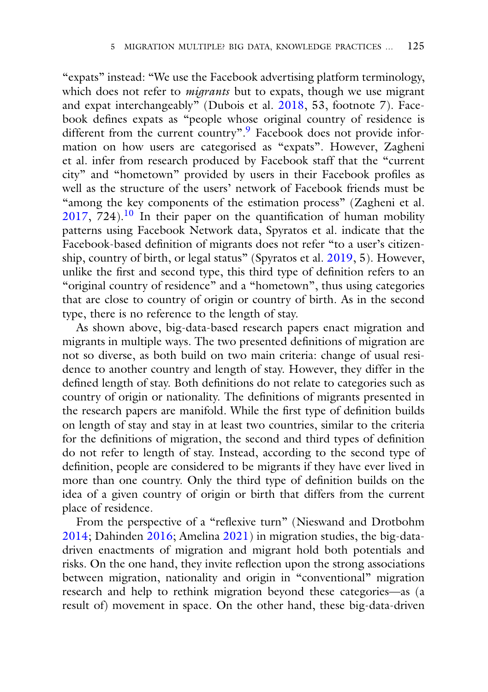"expats" instead: "We use the Facebook advertising platform terminology, which does not refer to *migrants* but to expats, though we use migrant and expat interchangeably" (Dubois et al. [2018,](#page-19-5) 53, footnote 7). Facebook defines expats as "people whose original country of residence is different from the current country".<sup>[9](#page-17-0)</sup> Facebook does not provide information on how users are categorised as "expats". However, Zagheni et al. infer from research produced by Facebook staff that the "current city" and "hometown" provided by users in their Facebook profiles as well as the structure of the users' network of Facebook friends must be "among the key components of the estimation process" (Zagheni et al.  $2017, 724$  $2017, 724$ .<sup>10</sup> In their paper on the quantification of human mobility patterns using Facebook Network data, Spyratos et al. indicate that the Facebook-based definition of migrants does not refer "to a user's citizenship, country of birth, or legal status" (Spyratos et al. [2019,](#page-23-9) 5). However, unlike the first and second type, this third type of definition refers to an "original country of residence" and a "hometown", thus using categories that are close to country of origin or country of birth. As in the second type, there is no reference to the length of stay.

As shown above, big-data-based research papers enact migration and migrants in multiple ways. The two presented definitions of migration are not so diverse, as both build on two main criteria: change of usual residence to another country and length of stay. However, they differ in the defined length of stay. Both definitions do not relate to categories such as country of origin or nationality. The definitions of migrants presented in the research papers are manifold. While the first type of definition builds on length of stay and stay in at least two countries, similar to the criteria for the definitions of migration, the second and third types of definition do not refer to length of stay. Instead, according to the second type of definition, people are considered to be migrants if they have ever lived in more than one country. Only the third type of definition builds on the idea of a given country of origin or birth that differs from the current place of residence.

From the perspective of a "reflexive turn" (Nieswand and Drotbohm [2014;](#page-21-1) Dahinden [2016;](#page-19-4) Amelina [2021\)](#page-18-3) in migration studies, the big-datadriven enactments of migration and migrant hold both potentials and risks. On the one hand, they invite reflection upon the strong associations between migration, nationality and origin in "conventional" migration research and help to rethink migration beyond these categories—as (a result of) movement in space. On the other hand, these big-data-driven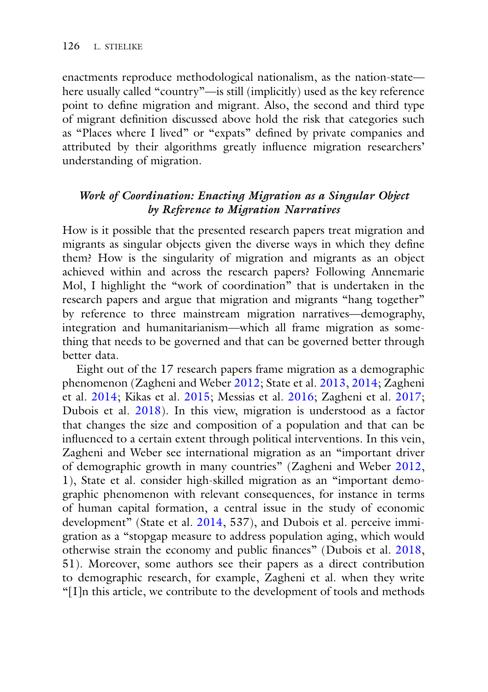enactments reproduce methodological nationalism, as the nation-state here usually called "country"—is still (implicitly) used as the key reference point to define migration and migrant. Also, the second and third type of migrant definition discussed above hold the risk that categories such as "Places where I lived" or "expats" defined by private companies and attributed by their algorithms greatly influence migration researchers' understanding of migration.

## *Work of Coordination: Enacting Migration as a Singular Object by Reference to Migration Narratives*

How is it possible that the presented research papers treat migration and migrants as singular objects given the diverse ways in which they define them? How is the singularity of migration and migrants as an object achieved within and across the research papers? Following Annemarie Mol, I highlight the "work of coordination" that is undertaken in the research papers and argue that migration and migrants "hang together" by reference to three mainstream migration narratives—demography, integration and humanitarianism—which all frame migration as something that needs to be governed and that can be governed better through better data.

Eight out of the 17 research papers frame migration as a demographic phenomenon (Zagheni and Weber [2012;](#page-24-6) State et al. [2013,](#page-23-6) [2014;](#page-23-7) Zagheni et al. [2014;](#page-24-5) Kikas et al. [2015;](#page-20-5) Messias et al. [2016;](#page-21-8) Zagheni et al. [2017;](#page-24-8) Dubois et al. [2018\)](#page-19-5). In this view, migration is understood as a factor that changes the size and composition of a population and that can be influenced to a certain extent through political interventions. In this vein, Zagheni and Weber see international migration as an "important driver of demographic growth in many countries" (Zagheni and Weber [2012,](#page-24-6) 1), State et al. consider high-skilled migration as an "important demographic phenomenon with relevant consequences, for instance in terms of human capital formation, a central issue in the study of economic development" (State et al. [2014,](#page-23-7) 537), and Dubois et al. perceive immigration as a "stopgap measure to address population aging, which would otherwise strain the economy and public finances" (Dubois et al. [2018,](#page-19-5) 51). Moreover, some authors see their papers as a direct contribution to demographic research, for example, Zagheni et al. when they write "[I]n this article, we contribute to the development of tools and methods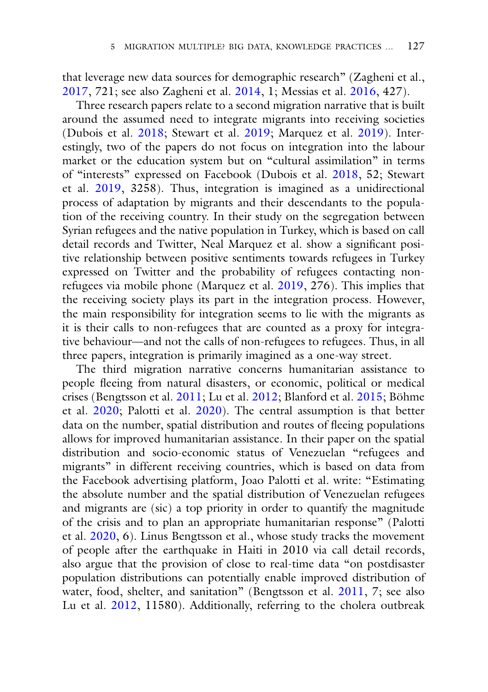that leverage new data sources for demographic research" (Zagheni et al., [2017,](#page-24-8) 721; see also Zagheni et al. [2014,](#page-24-5) 1; Messias et al. [2016,](#page-21-8) 427).

Three research papers relate to a second migration narrative that is built around the assumed need to integrate migrants into receiving societies (Dubois et al. [2018;](#page-19-5) Stewart et al. [2019;](#page-23-10) Marquez et al. [2019\)](#page-21-9). Interestingly, two of the papers do not focus on integration into the labour market or the education system but on "cultural assimilation" in terms of "interests" expressed on Facebook (Dubois et al. [2018,](#page-19-5) 52; Stewart et al. [2019,](#page-23-10) 3258). Thus, integration is imagined as a unidirectional process of adaptation by migrants and their descendants to the population of the receiving country. In their study on the segregation between Syrian refugees and the native population in Turkey, which is based on call detail records and Twitter, Neal Marquez et al. show a significant positive relationship between positive sentiments towards refugees in Turkey expressed on Twitter and the probability of refugees contacting nonrefugees via mobile phone (Marquez et al. [2019,](#page-21-9) 276). This implies that the receiving society plays its part in the integration process. However, the main responsibility for integration seems to lie with the migrants as it is their calls to non-refugees that are counted as a proxy for integrative behaviour—and not the calls of non-refugees to refugees. Thus, in all three papers, integration is primarily imagined as a one-way street.

The third migration narrative concerns humanitarian assistance to people fleeing from natural disasters, or economic, political or medical crises (Bengtsson et al. [2011;](#page-19-6) Lu et al. [2012;](#page-21-10) Blanford et al. [2015;](#page-19-7) Böhme et al. [2020;](#page-19-8) Palotti et al. [2020\)](#page-22-9). The central assumption is that better data on the number, spatial distribution and routes of fleeing populations allows for improved humanitarian assistance. In their paper on the spatial distribution and socio-economic status of Venezuelan "refugees and migrants" in different receiving countries, which is based on data from the Facebook advertising platform, Joao Palotti et al. write: "Estimating the absolute number and the spatial distribution of Venezuelan refugees and migrants are (sic) a top priority in order to quantify the magnitude of the crisis and to plan an appropriate humanitarian response" (Palotti et al. [2020,](#page-22-9) 6). Linus Bengtsson et al., whose study tracks the movement of people after the earthquake in Haiti in 2010 via call detail records, also argue that the provision of close to real-time data "on postdisaster population distributions can potentially enable improved distribution of water, food, shelter, and sanitation" (Bengtsson et al. [2011,](#page-19-6) 7; see also Lu et al. [2012,](#page-21-10) 11580). Additionally, referring to the cholera outbreak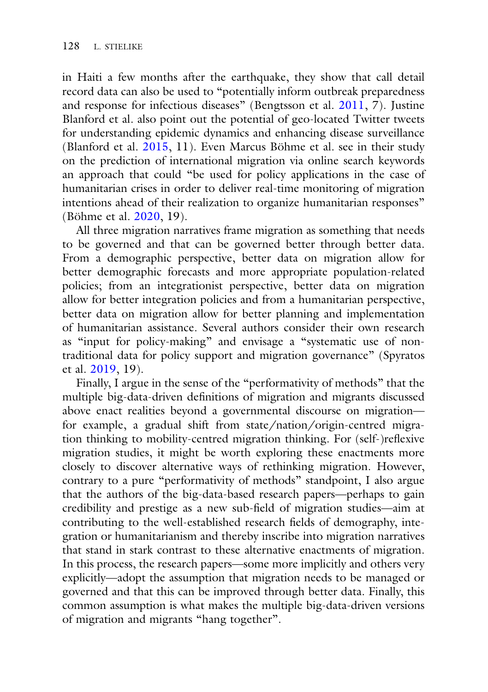in Haiti a few months after the earthquake, they show that call detail record data can also be used to "potentially inform outbreak preparedness and response for infectious diseases" (Bengtsson et al. [2011,](#page-19-6) 7). Justine Blanford et al. also point out the potential of geo-located Twitter tweets for understanding epidemic dynamics and enhancing disease surveillance (Blanford et al. [2015,](#page-19-7) 11). Even Marcus Böhme et al. see in their study on the prediction of international migration via online search keywords an approach that could "be used for policy applications in the case of humanitarian crises in order to deliver real-time monitoring of migration intentions ahead of their realization to organize humanitarian responses" (Böhme et al. [2020,](#page-19-8) 19).

All three migration narratives frame migration as something that needs to be governed and that can be governed better through better data. From a demographic perspective, better data on migration allow for better demographic forecasts and more appropriate population-related policies; from an integrationist perspective, better data on migration allow for better integration policies and from a humanitarian perspective, better data on migration allow for better planning and implementation of humanitarian assistance. Several authors consider their own research as "input for policy-making" and envisage a "systematic use of nontraditional data for policy support and migration governance" (Spyratos et al. [2019,](#page-23-9) 19).

Finally, I argue in the sense of the "performativity of methods" that the multiple big-data-driven definitions of migration and migrants discussed above enact realities beyond a governmental discourse on migration for example, a gradual shift from state/nation/origin-centred migration thinking to mobility-centred migration thinking. For (self-)reflexive migration studies, it might be worth exploring these enactments more closely to discover alternative ways of rethinking migration. However, contrary to a pure "performativity of methods" standpoint, I also argue that the authors of the big-data-based research papers—perhaps to gain credibility and prestige as a new sub-field of migration studies—aim at contributing to the well-established research fields of demography, integration or humanitarianism and thereby inscribe into migration narratives that stand in stark contrast to these alternative enactments of migration. In this process, the research papers—some more implicitly and others very explicitly—adopt the assumption that migration needs to be managed or governed and that this can be improved through better data. Finally, this common assumption is what makes the multiple big-data-driven versions of migration and migrants "hang together".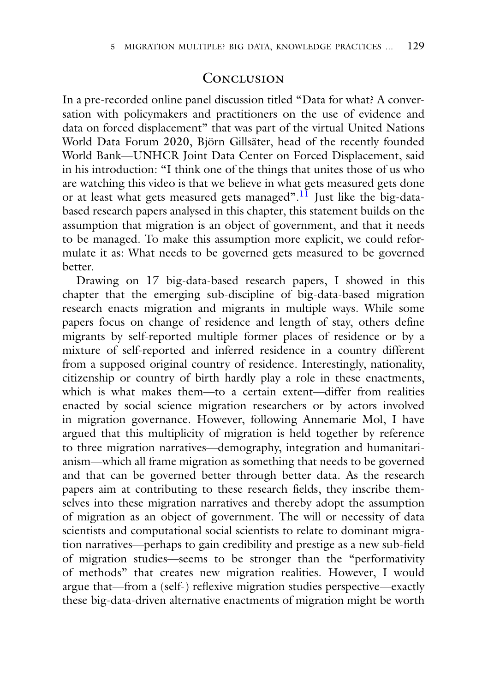#### **CONCLUSION**

In a pre-recorded online panel discussion titled "Data for what? A conversation with policymakers and practitioners on the use of evidence and data on forced displacement" that was part of the virtual United Nations World Data Forum 2020, Björn Gillsäter, head of the recently founded World Bank—UNHCR Joint Data Center on Forced Displacement, said in his introduction: "I think one of the things that unites those of us who are watching this video is that we believe in what gets measured gets done or at least what gets measured gets managed".<sup>[11](#page-17-0)</sup> Just like the big-databased research papers analysed in this chapter, this statement builds on the assumption that migration is an object of government, and that it needs to be managed. To make this assumption more explicit, we could reformulate it as: What needs to be governed gets measured to be governed better.

Drawing on 17 big-data-based research papers, I showed in this chapter that the emerging sub-discipline of big-data-based migration research enacts migration and migrants in multiple ways. While some papers focus on change of residence and length of stay, others define migrants by self-reported multiple former places of residence or by a mixture of self-reported and inferred residence in a country different from a supposed original country of residence. Interestingly, nationality, citizenship or country of birth hardly play a role in these enactments, which is what makes them—to a certain extent—differ from realities enacted by social science migration researchers or by actors involved in migration governance. However, following Annemarie Mol, I have argued that this multiplicity of migration is held together by reference to three migration narratives—demography, integration and humanitarianism—which all frame migration as something that needs to be governed and that can be governed better through better data. As the research papers aim at contributing to these research fields, they inscribe themselves into these migration narratives and thereby adopt the assumption of migration as an object of government. The will or necessity of data scientists and computational social scientists to relate to dominant migration narratives—perhaps to gain credibility and prestige as a new sub-field of migration studies—seems to be stronger than the "performativity of methods" that creates new migration realities. However, I would argue that—from a (self-) reflexive migration studies perspective—exactly these big-data-driven alternative enactments of migration might be worth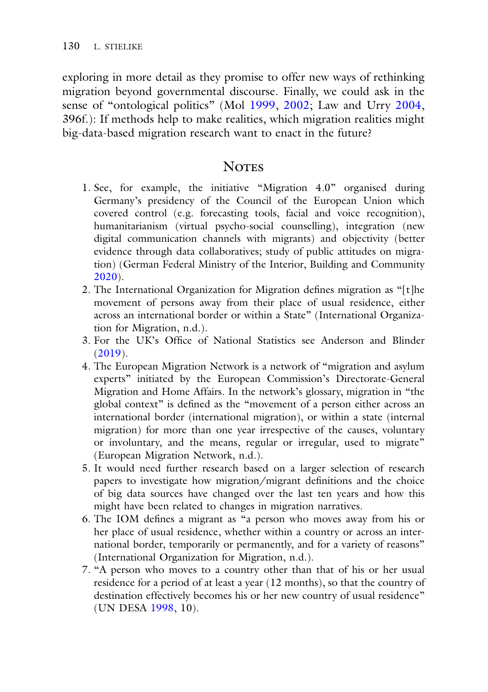exploring in more detail as they promise to offer new ways of rethinking migration beyond governmental discourse. Finally, we could ask in the sense of "ontological politics" (Mol [1999,](#page-21-11) [2002;](#page-21-2) Law and Urry [2004,](#page-21-4) 396f.): If methods help to make realities, which migration realities might big-data-based migration research want to enact in the future?

#### **NOTES**

- <span id="page-17-0"></span>1. See, for example, the initiative "Migration 4.0" organised during Germany's presidency of the Council of the European Union which covered control (e.g. forecasting tools, facial and voice recognition), humanitarianism (virtual psycho-social counselling), integration (new digital communication channels with migrants) and objectivity (better evidence through data collaboratives; study of public attitudes on migration) (German Federal Ministry of the Interior, Building and Community [2020\)](#page-20-7).
- 2. The International Organization for Migration defines migration as "[t]he movement of persons away from their place of usual residence, either across an international border or within a State" (International Organization for Migration, n.d.).
- 3. For the UK's Office of National Statistics see Anderson and Blinder [\(2019\)](#page-18-4).
- 4. The European Migration Network is a network of "migration and asylum experts" initiated by the European Commission's Directorate-General Migration and Home Affairs. In the network's glossary, migration in "the global context" is defined as the "movement of a person either across an international border (international migration), or within a state (internal migration) for more than one year irrespective of the causes, voluntary or involuntary, and the means, regular or irregular, used to migrate" (European Migration Network, n.d.).
- 5. It would need further research based on a larger selection of research papers to investigate how migration/migrant definitions and the choice of big data sources have changed over the last ten years and how this might have been related to changes in migration narratives.
- 6. The IOM defines a migrant as "a person who moves away from his or her place of usual residence, whether within a country or across an international border, temporarily or permanently, and for a variety of reasons" (International Organization for Migration, n.d.).
- 7. "A person who moves to a country other than that of his or her usual residence for a period of at least a year (12 months), so that the country of destination effectively becomes his or her new country of usual residence" (UN DESA [1998,](#page-23-8) 10).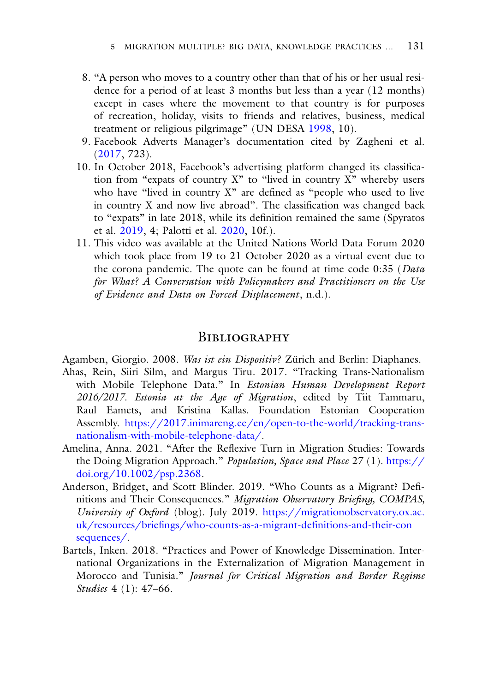- 8. "A person who moves to a country other than that of his or her usual residence for a period of at least 3 months but less than a year (12 months) except in cases where the movement to that country is for purposes of recreation, holiday, visits to friends and relatives, business, medical treatment or religious pilgrimage" (UN DESA [1998,](#page-23-8) 10).
- 9. Facebook Adverts Manager's documentation cited by Zagheni et al. [\(2017,](#page-24-8) 723).
- 10. In October 2018, Facebook's advertising platform changed its classification from "expats of country X" to "lived in country X" whereby users who have "lived in country X" are defined as "people who used to live in country X and now live abroad". The classification was changed back to "expats" in late 2018, while its definition remained the same (Spyratos et al. [2019,](#page-23-9) 4; Palotti et al. [2020,](#page-22-9) 10f.).
- 11. This video was available at the United Nations World Data Forum 2020 which took place from 19 to 21 October 2020 as a virtual event due to the corona pandemic. The quote can be found at time code 0:35 (*Data for What? A Conversation with Policymakers and Practitioners on the Use of Evidence and Data on Forced Displacement*, n.d.).

#### **BIBLIOGRAPHY**

<span id="page-18-1"></span>Agamben, Giorgio. 2008. *Was ist ein Dispositiv?* Zürich and Berlin: Diaphanes.

- <span id="page-18-2"></span>Ahas, Rein, Siiri Silm, and Margus Tiru. 2017. "Tracking Trans-Nationalism with Mobile Telephone Data." In *Estonian Human Development Report 2016/2017. Estonia at the Age of Migration*, edited by Tiit Tammaru, Raul Eamets, and Kristina Kallas. Foundation Estonian Cooperation Assembly. [https://2017.inimareng.ee/en/open-to-the-world/tracking-trans](https://2017.inimareng.ee/en/open-to-the-world/tracking-trans-nationalism-with-mobile-telephone-data/)nationalism-with-mobile-telephone-data/.
- <span id="page-18-3"></span>Amelina, Anna. 2021. "After the Reflexive Turn in Migration Studies: Towards [the Doing Migration Approach."](https://doi.org/10.1002/psp.2368) *Population, Space and Place* 27 (1). https:// doi.org/10.1002/psp.2368.
- <span id="page-18-4"></span>Anderson, Bridget, and Scott Blinder. 2019. "Who Counts as a Migrant? Definitions and Their Consequences." *Migration Observatory Briefing, COMPAS, University of Oxford* (blog). July 2019. https://migrationobservatory.ox.ac. [uk/resources/briefings/who-counts-as-a-migrant-definitions-and-their-con](https://migrationobservatory.ox.ac.uk/resources/briefings/who-counts-as-a-migrant-definitions-and-their-consequences/) sequences/.
- <span id="page-18-0"></span>Bartels, Inken. 2018. "Practices and Power of Knowledge Dissemination. International Organizations in the Externalization of Migration Management in Morocco and Tunisia." *Journal for Critical Migration and Border Regime Studies* 4 (1): 47–66.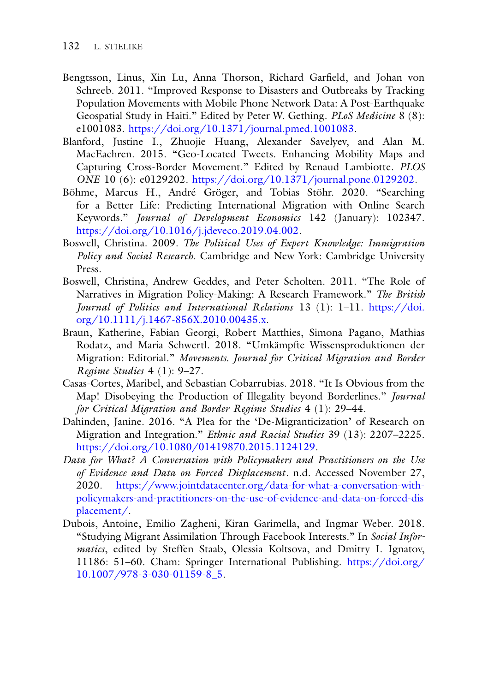- <span id="page-19-6"></span>Bengtsson, Linus, Xin Lu, Anna Thorson, Richard Garfield, and Johan von Schreeb. 2011. "Improved Response to Disasters and Outbreaks by Tracking Population Movements with Mobile Phone Network Data: A Post-Earthquake Geospatial Study in Haiti." Edited by Peter W. Gething. *PLoS Medicine* 8 (8): e1001083. [https://doi.org/10.1371/journal.pmed.1001083.](https://doi.org/10.1371/journal.pmed.1001083)
- <span id="page-19-7"></span>Blanford, Justine I., Zhuojie Huang, Alexander Savelyev, and Alan M. MacEachren. 2015. "Geo-Located Tweets. Enhancing Mobility Maps and Capturing Cross-Border Movement." Edited by Renaud Lambiotte. *PLOS ONE* 10 (6): e0129202. [https://doi.org/10.1371/journal.pone.0129202.](https://doi.org/10.1371/journal.pone.0129202)
- <span id="page-19-8"></span>Böhme, Marcus H., André Gröger, and Tobias Stöhr. 2020. "Searching for a Better Life: Predicting International Migration with Online Search Keywords." *Journal of Development Economics* 142 (January): 102347. [https://doi.org/10.1016/j.jdeveco.2019.04.002.](https://doi.org/10.1016/j.jdeveco.2019.04.002)
- <span id="page-19-2"></span>Boswell, Christina. 2009. *The Political Uses of Expert Knowledge: Immigration Policy and Social Research*. Cambridge and New York: Cambridge University Press.
- <span id="page-19-3"></span>Boswell, Christina, Andrew Geddes, and Peter Scholten. 2011. "The Role of Narratives in Migration Policy-Making: A Research Framework." *The British [Journal of Politics and International Relations](https://doi.org/10.1111/j.1467-856X.2010.00435.x)* 13 (1): 1–11. https://doi. org/10.1111/j.1467-856X.2010.00435.x.
- <span id="page-19-0"></span>Braun, Katherine, Fabian Georgi, Robert Matthies, Simona Pagano, Mathias Rodatz, and Maria Schwertl. 2018. "Umkämpfte Wissensproduktionen der Migration: Editorial." *Movements. Journal for Critical Migration and Border Regime Studies* 4 (1): 9–27.
- <span id="page-19-1"></span>Casas-Cortes, Maribel, and Sebastian Cobarrubias. 2018. "It Is Obvious from the Map! Disobeying the Production of Illegality beyond Borderlines." *Journal for Critical Migration and Border Regime Studies* 4 (1): 29–44.
- <span id="page-19-4"></span>Dahinden, Janine. 2016. "A Plea for the 'De-Migranticization' of Research on Migration and Integration." *Ethnic and Racial Studies* 39 (13): 2207–2225. [https://doi.org/10.1080/01419870.2015.1124129.](https://doi.org/10.1080/01419870.2015.1124129)
- *Data for What? A Conversation with Policymakers and Practitioners on the Use of Evidence and Data on Forced Displacement*. n.d. Accessed November 27, 2020. https://www.jointdatacenter.org/data-for-what-a-conversation-with[policymakers-and-practitioners-on-the-use-of-evidence-and-data-on-forced-dis](https://www.jointdatacenter.org/data-for-what-a-conversation-with-policymakers-and-practitioners-on-the-use-of-evidence-and-data-on-forced-displacement/) placement/.
- <span id="page-19-5"></span>Dubois, Antoine, Emilio Zagheni, Kiran Garimella, and Ingmar Weber. 2018. "Studying Migrant Assimilation Through Facebook Interests." In *Social Informatics*, edited by Steffen Staab, Olessia Koltsova, and Dmitry I. Ignatov, [11186: 51–60. Cham: Springer International Publishing.](https://doi.org/10.1007/978-3-030-01159-8_5) https://doi.org/ 10.1007/978-3-030-01159-8\_5.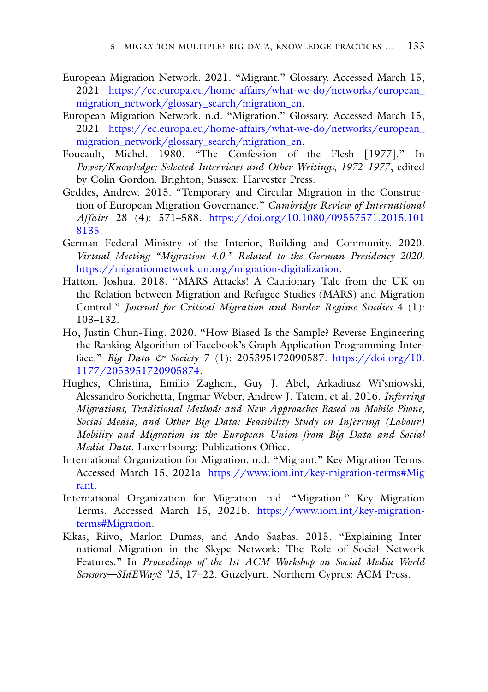- <span id="page-20-6"></span>European Migration Network. 2021. "Migrant." Glossary. Accessed March 15, 2021. [https://ec.europa.eu/home-affairs/what-we-do/networks/european\\_](https://ec.europa.eu/home-affairs/what-we-do/networks/european_migration_network/glossary_search/migration_en) migration\_network/glossary\_search/migration\_en.
- European Migration Network. n.d. "Migration." Glossary. Accessed March 15, 2021. [https://ec.europa.eu/home-affairs/what-we-do/networks/european\\_](https://ec.europa.eu/home-affairs/what-we-do/networks/european_migration_network/glossary_search/migration_en) migration\_network/glossary\_search/migration\_en.
- <span id="page-20-2"></span>Foucault, Michel. 1980. "The Confession of the Flesh [1977]." In *Power/Knowledge: Selected Interviews and Other Writings, 1972–1977*, edited by Colin Gordon. Brighton, Sussex: Harvester Press.
- <span id="page-20-1"></span>Geddes, Andrew. 2015. "Temporary and Circular Migration in the Construction of European Migration Governance." *Cambridge Review of International Affairs* 28 (4): 571–588. [https://doi.org/10.1080/09557571.2015.101](https://doi.org/10.1080/09557571.2015.1018135) 8135.
- <span id="page-20-7"></span>German Federal Ministry of the Interior, Building and Community. 2020. *Virtual Meeting "Migration 4.0." Related to the German Presidency 2020*. [https://migrationnetwork.un.org/migration-digitalization.](https://migrationnetwork.un.org/migration-digitalization)
- <span id="page-20-0"></span>Hatton, Joshua. 2018. "MARS Attacks! A Cautionary Tale from the UK on the Relation between Migration and Refugee Studies (MARS) and Migration Control." *Journal for Critical Migration and Border Regime Studies* 4 (1): 103–132.
- <span id="page-20-3"></span>Ho, Justin Chun-Ting. 2020. "How Biased Is the Sample? Reverse Engineering the Ranking Algorithm of Facebook's Graph Application Programming Interface." *Big Data & Society* 7 (1): 205395172090587. https://doi.org/10. [1177/2053951720905874.](https://doi.org/10.1177/2053951720905874)
- <span id="page-20-4"></span>Hughes, Christina, Emilio Zagheni, Guy J. Abel, Arkadiusz Wi'sniowski, Alessandro Sorichetta, Ingmar Weber, Andrew J. Tatem, et al. 2016. *Inferring Migrations, Traditional Methods and New Approaches Based on Mobile Phone, Social Media, and Other Big Data: Feasibility Study on Inferring (Labour) Mobility and Migration in the European Union from Big Data and Social Media Data.* Luxembourg: Publications Office.
- International Organization for Migration. n.d. "Migrant." Key Migration Terms. Accessed March 15, 2021a. [https://www.iom.int/key-migration-terms#Mig](https://www.iom.int/key-migration-terms%23Migrant) rant.
- International Organization for Migration. n.d. "Migration." Key Migration [Terms. Accessed March 15, 2021b.](https://www.iom.int/key-migration-terms%23Migration) https://www.iom.int/key-migrationterms#Migration.
- <span id="page-20-5"></span>Kikas, Riivo, Marlon Dumas, and Ando Saabas. 2015. "Explaining International Migration in the Skype Network: The Role of Social Network Features." In *Proceedings of the 1st ACM Workshop on Social Media World Sensors—SIdEWayS '15*, 17–22. Guzelyurt, Northern Cyprus: ACM Press.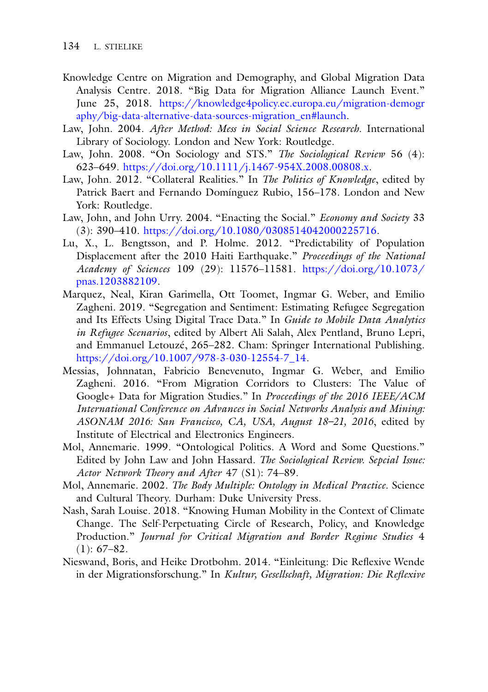- <span id="page-21-3"></span>Knowledge Centre on Migration and Demography, and Global Migration Data Analysis Centre. 2018. "Big Data for Migration Alliance Launch Event." June 25, 2018. https://knowledge4policy.ec.europa.eu/migration-demogr [aphy/big-data-alternative-data-sources-migration\\_en#launch.](https://knowledge4policy.ec.europa.eu/migration-demography/big-data-alternative-data-sources-migration_en%23launch)
- <span id="page-21-5"></span>Law, John. 2004. *After Method: Mess in Social Science Research*. International Library of Sociology. London and New York: Routledge.
- <span id="page-21-6"></span>Law, John. 2008. "On Sociology and STS." *The Sociological Review* 56 (4): 623–649. [https://doi.org/10.1111/j.1467-954X.2008.00808.x.](https://doi.org/10.1111/j.1467-954X.2008.00808.x)
- <span id="page-21-7"></span>Law, John. 2012. "Collateral Realities." In *The Politics of Knowledge*, edited by Patrick Baert and Fernando Domínguez Rubio, 156–178. London and New York: Routledge.
- <span id="page-21-4"></span>Law, John, and John Urry. 2004. "Enacting the Social." *Economy and Society* 33 (3): 390–410. [https://doi.org/10.1080/0308514042000225716.](https://doi.org/10.1080/0308514042000225716)
- <span id="page-21-10"></span>Lu, X., L. Bengtsson, and P. Holme. 2012. "Predictability of Population Displacement after the 2010 Haiti Earthquake." *Proceedings of the National Academy of Sciences* 109 (29): 11576–11581. [https://doi.org/10.1073/](https://doi.org/10.1073/pnas.1203882109) pnas.1203882109.
- <span id="page-21-9"></span>Marquez, Neal, Kiran Garimella, Ott Toomet, Ingmar G. Weber, and Emilio Zagheni. 2019. "Segregation and Sentiment: Estimating Refugee Segregation and Its Effects Using Digital Trace Data." In *Guide to Mobile Data Analytics in Refugee Scenarios*, edited by Albert Ali Salah, Alex Pentland, Bruno Lepri, and Emmanuel Letouzé, 265–282. Cham: Springer International Publishing. [https://doi.org/10.1007/978-3-030-12554-7\\_14.](https://doi.org/10.1007/978-3-030-12554-7_14)
- <span id="page-21-8"></span>Messias, Johnnatan, Fabricio Benevenuto, Ingmar G. Weber, and Emilio Zagheni. 2016. "From Migration Corridors to Clusters: The Value of Google+ Data for Migration Studies." In *Proceedings of the 2016 IEEE/ACM International Conference on Advances in Social Networks Analysis and Mining: ASONAM 2016: San Francisco, CA, USA, August 18–21, 2016*, edited by Institute of Electrical and Electronics Engineers.
- <span id="page-21-11"></span>Mol, Annemarie. 1999. "Ontological Politics. A Word and Some Questions." Edited by John Law and John Hassard. *The Sociological Review. Sepcial Issue: Actor Network Theory and After* 47 (S1): 74–89.
- <span id="page-21-2"></span>Mol, Annemarie. 2002. *The Body Multiple: Ontology in Medical Practice*. Science and Cultural Theory. Durham: Duke University Press.
- <span id="page-21-0"></span>Nash, Sarah Louise. 2018. "Knowing Human Mobility in the Context of Climate Change. The Self-Perpetuating Circle of Research, Policy, and Knowledge Production." *Journal for Critical Migration and Border Regime Studies* 4  $(1): 67-82.$
- <span id="page-21-1"></span>Nieswand, Boris, and Heike Drotbohm. 2014. "Einleitung: Die Reflexive Wende in der Migrationsforschung." In *Kultur, Gesellschaft, Migration: Die Reflexive*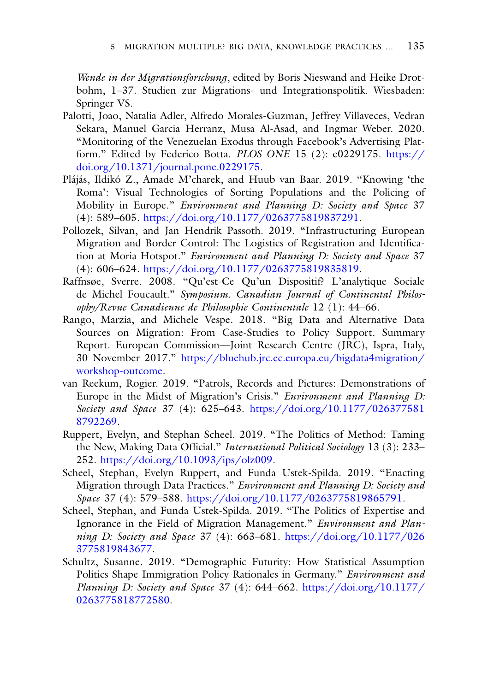*Wende in der Migrationsforschung*, edited by Boris Nieswand and Heike Drotbohm, 1–37. Studien zur Migrations- und Integrationspolitik. Wiesbaden: Springer VS.

- <span id="page-22-9"></span>Palotti, Joao, Natalia Adler, Alfredo Morales-Guzman, Jeffrey Villaveces, Vedran Sekara, Manuel Garcia Herranz, Musa Al-Asad, and Ingmar Weber. 2020. "Monitoring of the Venezuelan Exodus through Facebook's Advertising Platform." Edited by Federico Botta. *PLOS ONE* 15 (2): e0229175. https:// [doi.org/10.1371/journal.pone.0229175.](https://doi.org/10.1371/journal.pone.0229175)
- <span id="page-22-5"></span>Plájás, Ildikó Z., Amade M'charek, and Huub van Baar. 2019. "Knowing 'the Roma': Visual Technologies of Sorting Populations and the Policing of Mobility in Europe." *Environment and Planning D: Society and Space* 37 (4): 589–605. [https://doi.org/10.1177/0263775819837291.](https://doi.org/10.1177/0263775819837291)
- <span id="page-22-6"></span>Pollozek, Silvan, and Jan Hendrik Passoth. 2019. "Infrastructuring European Migration and Border Control: The Logistics of Registration and Identification at Moria Hotspot." *Environment and Planning D: Society and Space* 37 (4): 606–624. [https://doi.org/10.1177/0263775819835819.](https://doi.org/10.1177/0263775819835819)
- <span id="page-22-3"></span>Raffnsøe, Sverre. 2008. "Qu'est-Ce Qu'un Dispositif? L'analytique Sociale de Michel Foucault." *Symposium. Canadian Journal of Continental Philosophy/Revue Canadienne de Philosophie Continentale* 12 (1): 44–66.
- <span id="page-22-2"></span>Rango, Marzia, and Michele Vespe. 2018. "Big Data and Alternative Data Sources on Migration: From Case-Studies to Policy Support. Summary Report. European Commission—Joint Research Centre (JRC), Ispra, Italy, 30 November 2017." [https://bluehub.jrc.ec.europa.eu/bigdata4migration/](https://bluehub.jrc.ec.europa.eu/bigdata4migration/workshop-outcome) workshop-outcome.
- <span id="page-22-7"></span>van Reekum, Rogier. 2019. "Patrols, Records and Pictures: Demonstrations of Europe in the Midst of Migration's Crisis." *Environment and Planning D: Society and Space* 37 (4): 625–643. [https://doi.org/10.1177/026377581](https://doi.org/10.1177/0263775818792269) 8792269.
- <span id="page-22-0"></span>Ruppert, Evelyn, and Stephan Scheel. 2019. "The Politics of Method: Taming the New, Making Data Official." *International Political Sociology* 13 (3): 233– 252. [https://doi.org/10.1093/ips/olz009.](https://doi.org/10.1093/ips/olz009)
- <span id="page-22-4"></span>Scheel, Stephan, Evelyn Ruppert, and Funda Ustek-Spilda. 2019. "Enacting Migration through Data Practices." *Environment and Planning D: Society and Space* 37 (4): 579–588. [https://doi.org/10.1177/0263775819865791.](https://doi.org/10.1177/0263775819865791)
- <span id="page-22-1"></span>Scheel, Stephan, and Funda Ustek-Spilda. 2019. "The Politics of Expertise and Ignorance in the Field of Migration Management." *Environment and Planning D: Society and Space* 37 (4): 663–681. [https://doi.org/10.1177/026](https://doi.org/10.1177/0263775819843677) 3775819843677.
- <span id="page-22-8"></span>Schultz, Susanne. 2019. "Demographic Futurity: How Statistical Assumption Politics Shape Immigration Policy Rationales in Germany." *Environment and [Planning D: Society and Space](https://doi.org/10.1177/0263775818772580)* 37 (4): 644–662. https://doi.org/10.1177/ 0263775818772580.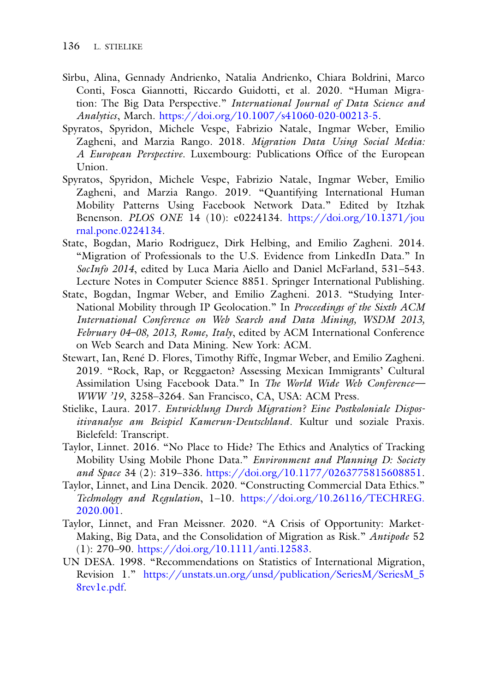- <span id="page-23-5"></span>Sîrbu, Alina, Gennady Andrienko, Natalia Andrienko, Chiara Boldrini, Marco Conti, Fosca Giannotti, Riccardo Guidotti, et al. 2020. "Human Migration: The Big Data Perspective." *International Journal of Data Science and Analytics*, March. [https://doi.org/10.1007/s41060-020-00213-5.](https://doi.org/10.1007/s41060-020-00213-5)
- <span id="page-23-4"></span>Spyratos, Spyridon, Michele Vespe, Fabrizio Natale, Ingmar Weber, Emilio Zagheni, and Marzia Rango. 2018. *Migration Data Using Social Media: A European Perspective*. Luxembourg: Publications Office of the European Union.
- <span id="page-23-9"></span>Spyratos, Spyridon, Michele Vespe, Fabrizio Natale, Ingmar Weber, Emilio Zagheni, and Marzia Rango. 2019. "Quantifying International Human Mobility Patterns Using Facebook Network Data." Edited by Itzhak Benenson. *PLOS ONE* 14 (10): e0224134. [https://doi.org/10.1371/jou](https://doi.org/10.1371/journal.pone.0224134) rnal.pone.0224134.
- <span id="page-23-7"></span>State, Bogdan, Mario Rodriguez, Dirk Helbing, and Emilio Zagheni. 2014. "Migration of Professionals to the U.S. Evidence from LinkedIn Data." In *SocInfo 2014*, edited by Luca Maria Aiello and Daniel McFarland, 531–543. Lecture Notes in Computer Science 8851. Springer International Publishing.
- <span id="page-23-6"></span>State, Bogdan, Ingmar Weber, and Emilio Zagheni. 2013. "Studying Inter-National Mobility through IP Geolocation." In *Proceedings of the Sixth ACM International Conference on Web Search and Data Mining, WSDM 2013, February 04–08, 2013, Rome, Italy*, edited by ACM International Conference on Web Search and Data Mining. New York: ACM.
- <span id="page-23-10"></span>Stewart, Ian, René D. Flores, Timothy Riffe, Ingmar Weber, and Emilio Zagheni. 2019. "Rock, Rap, or Reggaeton? Assessing Mexican Immigrants' Cultural Assimilation Using Facebook Data." In *The World Wide Web Conference— WWW '19*, 3258–3264. San Francisco, CA, USA: ACM Press.
- <span id="page-23-2"></span>Stielike, Laura. 2017. *Entwicklung Durch Migration? Eine Postkoloniale Dispositivanalyse am Beispiel Kamerun-Deutschland*. Kultur und soziale Praxis. Bielefeld: Transcript.
- <span id="page-23-0"></span>Taylor, Linnet. 2016. "No Place to Hide? The Ethics and Analytics of Tracking Mobility Using Mobile Phone Data." *Environment and Planning D: Society and Space* 34 (2): 319–336. [https://doi.org/10.1177/0263775815608851.](https://doi.org/10.1177/0263775815608851)
- <span id="page-23-3"></span>Taylor, Linnet, and Lina Dencik. 2020. "Constructing Commercial Data Ethics." *Technology and Regulation*, 1–10. [https://doi.org/10.26116/TECHREG.](https://doi.org/10.26116/TECHREG.2020.001) 2020.001.
- <span id="page-23-1"></span>Taylor, Linnet, and Fran Meissner. 2020. "A Crisis of Opportunity: Market-Making, Big Data, and the Consolidation of Migration as Risk." *Antipode* 52 (1): 270–90. [https://doi.org/10.1111/anti.12583.](https://doi.org/10.1111/anti.12583)
- <span id="page-23-8"></span>UN DESA. 1998. "Recommendations on Statistics of International Migration, Revision 1." [https://unstats.un.org/unsd/publication/SeriesM/SeriesM\\_5](https://unstats.un.org/unsd/publication/SeriesM/SeriesM_58rev1e.pdf) 8rev1e.pdf.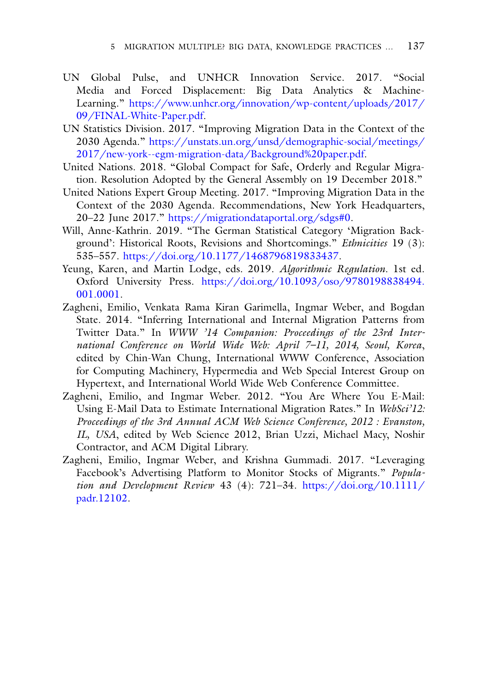- <span id="page-24-4"></span>UN Global Pulse, and UNHCR Innovation Service. 2017. "Social Media and Forced Displacement: Big Data Analytics & Machine-Learning." [https://www.unhcr.org/innovation/wp-content/uploads/2017/](https://www.unhcr.org/innovation/wp-content/uploads/2017/09/FINAL-White-Paper.pdf) 09/FINAL-White-Paper.pdf.
- <span id="page-24-2"></span>UN Statistics Division. 2017. "Improving Migration Data in the Context of the 2030 Agenda." https://unstats.un.org/unsd/demographic-social/meetings/ [2017/new-york--egm-migration-data/Background%20paper.pdf.](https://unstats.un.org/unsd/demographic-social/meetings/2017/new-york{-}{-}egm-migration-data/Background%2520paper.pdf)
- <span id="page-24-0"></span>United Nations. 2018. "Global Compact for Safe, Orderly and Regular Migration. Resolution Adopted by the General Assembly on 19 December 2018."
- <span id="page-24-3"></span>United Nations Expert Group Meeting. 2017. "Improving Migration Data in the Context of the 2030 Agenda. Recommendations, New York Headquarters, 20–22 June 2017." [https://migrationdataportal.org/sdgs#0.](https://migrationdataportal.org/sdgs%230)
- <span id="page-24-7"></span>Will, Anne-Kathrin. 2019. "The German Statistical Category 'Migration Background': Historical Roots, Revisions and Shortcomings." *Ethnicities* 19 (3): 535–557. [https://doi.org/10.1177/1468796819833437.](https://doi.org/10.1177/1468796819833437)
- <span id="page-24-1"></span>Yeung, Karen, and Martin Lodge, eds. 2019. *Algorithmic Regulation*. 1st ed. Oxford University Press. [https://doi.org/10.1093/oso/9780198838494.](https://doi.org/10.1093/oso/9780198838494.001.0001) 001.0001.
- <span id="page-24-5"></span>Zagheni, Emilio, Venkata Rama Kiran Garimella, Ingmar Weber, and Bogdan State. 2014. "Inferring International and Internal Migration Patterns from Twitter Data." In *WWW '14 Companion: Proceedings of the 23rd International Conference on World Wide Web: April 7–11, 2014, Seoul, Korea*, edited by Chin-Wan Chung, International WWW Conference, Association for Computing Machinery, Hypermedia and Web Special Interest Group on Hypertext, and International World Wide Web Conference Committee.
- <span id="page-24-6"></span>Zagheni, Emilio, and Ingmar Weber. 2012. "You Are Where You E-Mail: Using E-Mail Data to Estimate International Migration Rates." In *WebSci'12: Proceedings of the 3rd Annual ACM Web Science Conference, 2012 : Evanston, IL, USA*, edited by Web Science 2012, Brian Uzzi, Michael Macy, Noshir Contractor, and ACM Digital Library.
- <span id="page-24-8"></span>Zagheni, Emilio, Ingmar Weber, and Krishna Gummadi. 2017. "Leveraging Facebook's Advertising Platform to Monitor Stocks of Migrants." *Popula[tion and Development Review](https://doi.org/10.1111/padr.12102)* 43 (4): 721–34. https://doi.org/10.1111/ padr.12102.